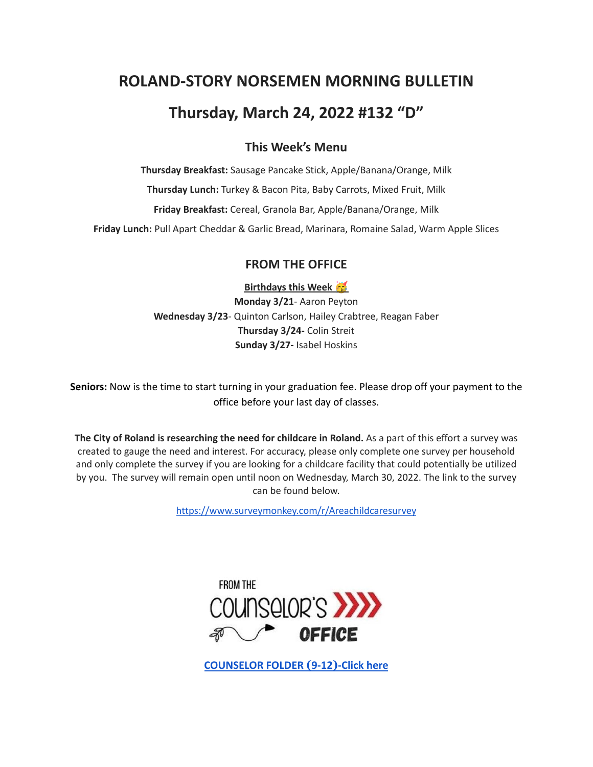# **ROLAND-STORY NORSEMEN MORNING BULLETIN**

# **Thursday, March 24, 2022 #132 "D"**

### **This Week's Menu**

**Thursday Breakfast:** Sausage Pancake Stick, Apple/Banana/Orange, Milk **Thursday Lunch:** Turkey & Bacon Pita, Baby Carrots, Mixed Fruit, Milk **Friday Breakfast:** Cereal, Granola Bar, Apple/Banana/Orange, Milk **Friday Lunch:** Pull Apart Cheddar & Garlic Bread, Marinara, Romaine Salad, Warm Apple Slices

### **FROM THE OFFICE**

**Birthdays this Week**

**Monday 3/21**- Aaron Peyton **Wednesday 3/23**- Quinton Carlson, Hailey Crabtree, Reagan Faber **Thursday 3/24-** Colin Streit **Sunday 3/27-** Isabel Hoskins

**Seniors:** Now is the time to start turning in your graduation fee. Please drop off your payment to the office before your last day of classes.

**The City of Roland is researching the need for childcare in Roland.** As a part of this effort a survey was created to gauge the need and interest. For accuracy, please only complete one survey per household and only complete the survey if you are looking for a childcare facility that could potentially be utilized by you. The survey will remain open until noon on Wednesday, March 30, 2022. The link to the survey can be found below.

<https://www.surveymonkey.com/r/Areachildcaresurvey>



**[COUNSELOR FOLDER](https://docs.google.com/document/d/1vmwczNPbDzXe9vFaG5LJMQ7NYDv-i4oQJHybqA65TUc/edit?usp=sharing) (9-12)-Click here**